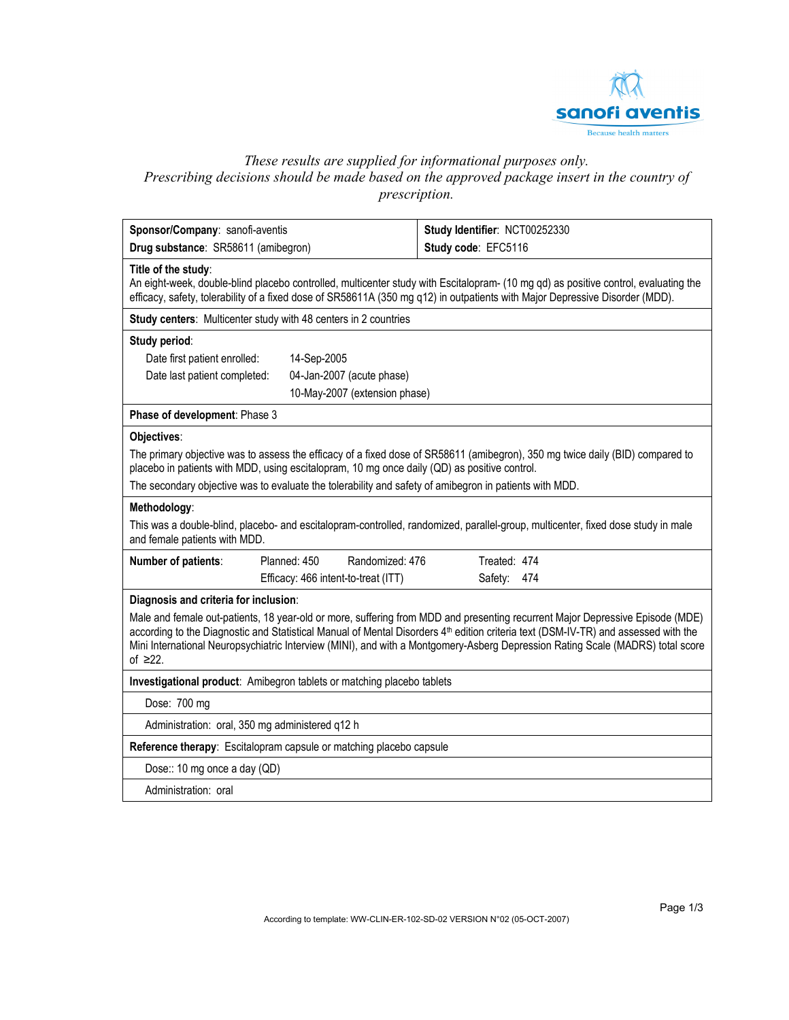

# *These results are supplied for informational purposes only. Prescribing decisions should be made based on the approved package insert in the country of prescription.*

| Sponsor/Company: sanofi-aventis<br>Drug substance: SR58611 (amibegron)                                                                                                                                                        |                                                                     | Study Identifier: NCT00252330<br>Study code: EFC5116                                                                                                                                                                                                                                                                                                                                                              |  |  |  |
|-------------------------------------------------------------------------------------------------------------------------------------------------------------------------------------------------------------------------------|---------------------------------------------------------------------|-------------------------------------------------------------------------------------------------------------------------------------------------------------------------------------------------------------------------------------------------------------------------------------------------------------------------------------------------------------------------------------------------------------------|--|--|--|
|                                                                                                                                                                                                                               |                                                                     |                                                                                                                                                                                                                                                                                                                                                                                                                   |  |  |  |
| Title of the study:                                                                                                                                                                                                           |                                                                     | An eight-week, double-blind placebo controlled, multicenter study with Escitalopram- (10 mg qd) as positive control, evaluating the<br>efficacy, safety, tolerability of a fixed dose of SR58611A (350 mg q12) in outpatients with Major Depressive Disorder (MDD).                                                                                                                                               |  |  |  |
|                                                                                                                                                                                                                               | Study centers: Multicenter study with 48 centers in 2 countries     |                                                                                                                                                                                                                                                                                                                                                                                                                   |  |  |  |
| Study period:                                                                                                                                                                                                                 |                                                                     |                                                                                                                                                                                                                                                                                                                                                                                                                   |  |  |  |
| Date first patient enrolled:                                                                                                                                                                                                  | 14-Sep-2005                                                         |                                                                                                                                                                                                                                                                                                                                                                                                                   |  |  |  |
| Date last patient completed:                                                                                                                                                                                                  | 04-Jan-2007 (acute phase)                                           |                                                                                                                                                                                                                                                                                                                                                                                                                   |  |  |  |
|                                                                                                                                                                                                                               | 10-May-2007 (extension phase)                                       |                                                                                                                                                                                                                                                                                                                                                                                                                   |  |  |  |
| Phase of development: Phase 3                                                                                                                                                                                                 |                                                                     |                                                                                                                                                                                                                                                                                                                                                                                                                   |  |  |  |
| Objectives:                                                                                                                                                                                                                   |                                                                     |                                                                                                                                                                                                                                                                                                                                                                                                                   |  |  |  |
| The primary objective was to assess the efficacy of a fixed dose of SR58611 (amibegron), 350 mg twice daily (BID) compared to<br>placebo in patients with MDD, using escitalopram, 10 mg once daily (QD) as positive control. |                                                                     |                                                                                                                                                                                                                                                                                                                                                                                                                   |  |  |  |
|                                                                                                                                                                                                                               |                                                                     | The secondary objective was to evaluate the tolerability and safety of amibegron in patients with MDD.                                                                                                                                                                                                                                                                                                            |  |  |  |
| Methodology:                                                                                                                                                                                                                  |                                                                     |                                                                                                                                                                                                                                                                                                                                                                                                                   |  |  |  |
| and female patients with MDD.                                                                                                                                                                                                 |                                                                     | This was a double-blind, placebo- and escitalopram-controlled, randomized, parallel-group, multicenter, fixed dose study in male                                                                                                                                                                                                                                                                                  |  |  |  |
| Number of patients:                                                                                                                                                                                                           | Planned: 450<br>Randomized: 476                                     | Treated: 474                                                                                                                                                                                                                                                                                                                                                                                                      |  |  |  |
|                                                                                                                                                                                                                               | Efficacy: 466 intent-to-treat (ITT)                                 | Safety: 474                                                                                                                                                                                                                                                                                                                                                                                                       |  |  |  |
| Diagnosis and criteria for inclusion:                                                                                                                                                                                         |                                                                     |                                                                                                                                                                                                                                                                                                                                                                                                                   |  |  |  |
| of $\geq 22$ .                                                                                                                                                                                                                |                                                                     | Male and female out-patients, 18 year-old or more, suffering from MDD and presenting recurrent Major Depressive Episode (MDE)<br>according to the Diagnostic and Statistical Manual of Mental Disorders 4 <sup>th</sup> edition criteria text (DSM-IV-TR) and assessed with the<br>Mini International Neuropsychiatric Interview (MINI), and with a Montgomery-Asberg Depression Rating Scale (MADRS) total score |  |  |  |
| Investigational product: Amibegron tablets or matching placebo tablets                                                                                                                                                        |                                                                     |                                                                                                                                                                                                                                                                                                                                                                                                                   |  |  |  |
| Dose: 700 mg                                                                                                                                                                                                                  |                                                                     |                                                                                                                                                                                                                                                                                                                                                                                                                   |  |  |  |
| Administration: oral, 350 mg administered q12 h                                                                                                                                                                               |                                                                     |                                                                                                                                                                                                                                                                                                                                                                                                                   |  |  |  |
|                                                                                                                                                                                                                               | Reference therapy: Escitalopram capsule or matching placebo capsule |                                                                                                                                                                                                                                                                                                                                                                                                                   |  |  |  |
| Dose:: 10 mg once a day (QD)                                                                                                                                                                                                  |                                                                     |                                                                                                                                                                                                                                                                                                                                                                                                                   |  |  |  |
| Administration: oral                                                                                                                                                                                                          |                                                                     |                                                                                                                                                                                                                                                                                                                                                                                                                   |  |  |  |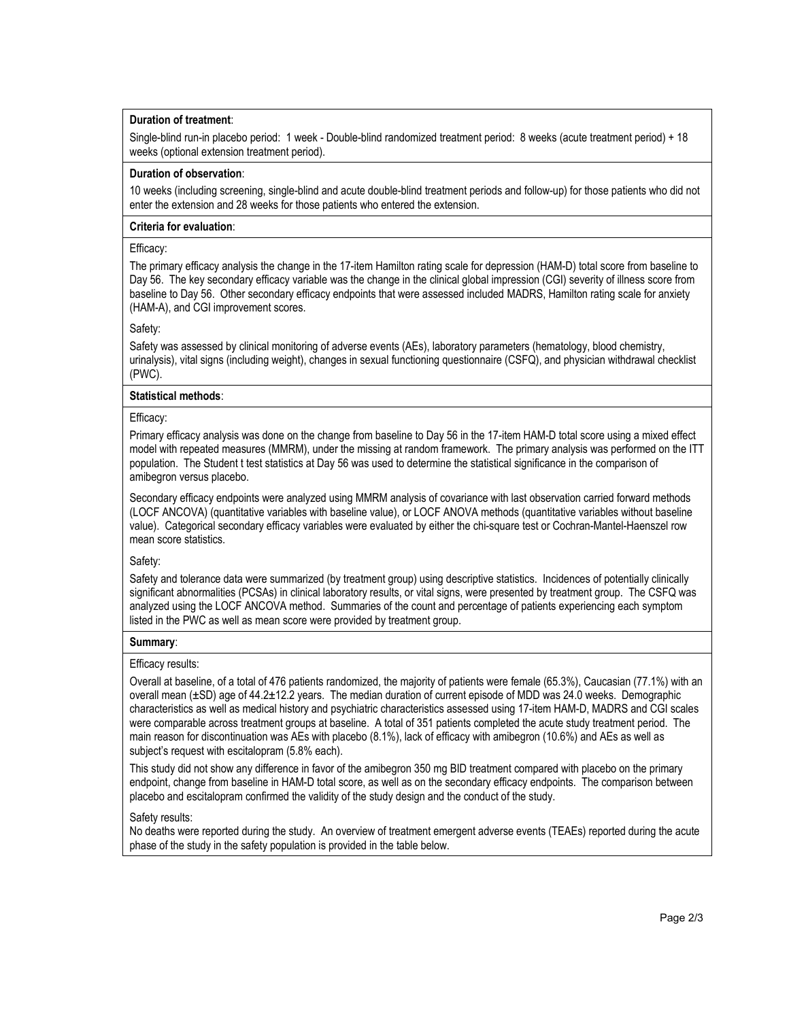## **Duration of treatment**:

Single-blind run-in placebo period: 1 week - Double-blind randomized treatment period: 8 weeks (acute treatment period) + 18 weeks (optional extension treatment period).

#### **Duration of observation**:

10 weeks (including screening, single-blind and acute double-blind treatment periods and follow-up) for those patients who did not enter the extension and 28 weeks for those patients who entered the extension.

### **Criteria for evaluation**:

### Efficacy:

The primary efficacy analysis the change in the 17-item Hamilton rating scale for depression (HAM-D) total score from baseline to Day 56. The key secondary efficacy variable was the change in the clinical global impression (CGI) severity of illness score from baseline to Day 56. Other secondary efficacy endpoints that were assessed included MADRS, Hamilton rating scale for anxiety (HAM-A), and CGI improvement scores.

### Safety:

Safety was assessed by clinical monitoring of adverse events (AEs), laboratory parameters (hematology, blood chemistry, urinalysis), vital signs (including weight), changes in sexual functioning questionnaire (CSFQ), and physician withdrawal checklist (PWC).

## **Statistical methods**:

## Efficacy:

Primary efficacy analysis was done on the change from baseline to Day 56 in the 17-item HAM-D total score using a mixed effect model with repeated measures (MMRM), under the missing at random framework. The primary analysis was performed on the ITT population. The Student t test statistics at Day 56 was used to determine the statistical significance in the comparison of amibegron versus placebo.

Secondary efficacy endpoints were analyzed using MMRM analysis of covariance with last observation carried forward methods (LOCF ANCOVA) (quantitative variables with baseline value), or LOCF ANOVA methods (quantitative variables without baseline value). Categorical secondary efficacy variables were evaluated by either the chi-square test or Cochran-Mantel-Haenszel row mean score statistics.

## Safety:

Safety and tolerance data were summarized (by treatment group) using descriptive statistics. Incidences of potentially clinically significant abnormalities (PCSAs) in clinical laboratory results, or vital signs, were presented by treatment group. The CSFQ was analyzed using the LOCF ANCOVA method. Summaries of the count and percentage of patients experiencing each symptom listed in the PWC as well as mean score were provided by treatment group.

#### **Summary**:

#### Efficacy results:

Overall at baseline, of a total of 476 patients randomized, the majority of patients were female (65.3%), Caucasian (77.1%) with an overall mean (±SD) age of 44.2±12.2 years. The median duration of current episode of MDD was 24.0 weeks. Demographic characteristics as well as medical history and psychiatric characteristics assessed using 17-item HAM-D, MADRS and CGI scales were comparable across treatment groups at baseline. A total of 351 patients completed the acute study treatment period. The main reason for discontinuation was AEs with placebo (8.1%), lack of efficacy with amibegron (10.6%) and AEs as well as subject's request with escitalopram (5.8% each).

This study did not show any difference in favor of the amibegron 350 mg BID treatment compared with placebo on the primary endpoint, change from baseline in HAM-D total score, as well as on the secondary efficacy endpoints. The comparison between placebo and escitalopram confirmed the validity of the study design and the conduct of the study.

#### Safety results:

No deaths were reported during the study. An overview of treatment emergent adverse events (TEAEs) reported during the acute phase of the study in the safety population is provided in the table below.